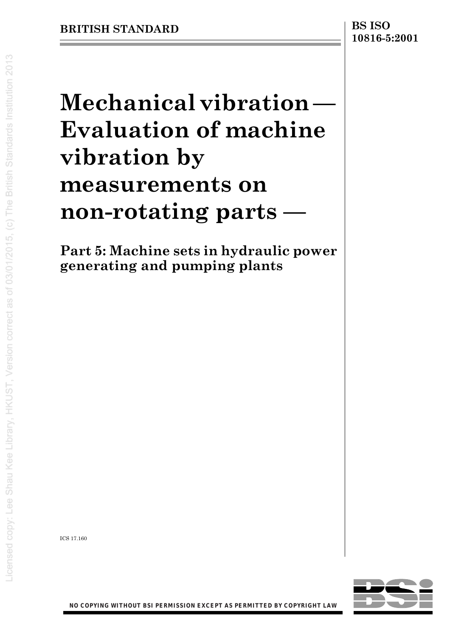# **Mechanical vibration — Evaluation of machine vibration by measurements on non-rotating parts —**

**Part 5: Machine sets in hydraulic power generating and pumping plants**

ICS 17.160

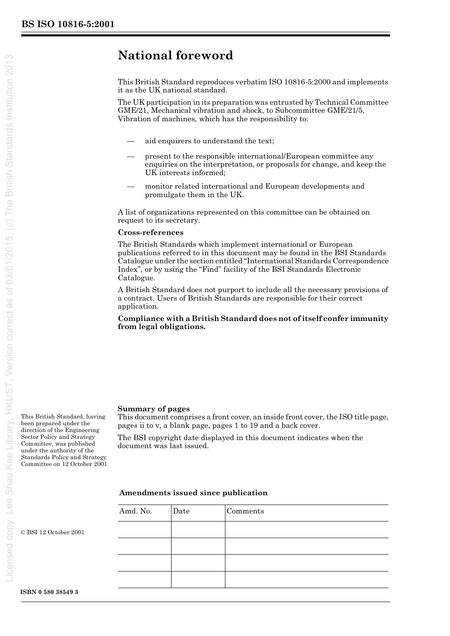## **National foreword**

This British Standard reproduces verbatim ISO 10816-5:2000 and implements it as the UK national standard.

The UK participation in its preparation was entrusted by Technical Committee GME/21, Mechanical vibration and shock, to Subcommittee GME/21/5, Vibration of machines, which has the responsibility to:

- aid enquirers to understand the text;
- present to the responsible international/European committee any enquiries on the interpretation, or proposals for change, and keep the UK interests informed;
- monitor related international and European developments and promulgate them in the UK.

A list of organizations represented on this committee can be obtained on request to its secretary.

#### **Cross-references**

The British Standards which implement international or European publications referred to in this document may be found in the BSI Standards Catalogue under the section entitled "International Standards Correspondence Index", or by using the "Find" facility of the BSI Standards Electronic Catalogue.

A British Standard does not purport to include all the necessary provisions of a contract. Users of British Standards are responsible for their correct application.

**Compliance with a British Standard does not of itself confer immunity from legal obligations.**

#### **Summary of pages**

This document comprises a front cover, an inside front cover, the ISO title page, pages ii to v, a blank page, pages 1 to 19 and a back cover.

The BSI copyright date displayed in this document indicates when the document was last issued.

#### **Amendments issued since publication**

| Amd. No. | Date | Comments |
|----------|------|----------|
|          |      |          |
|          |      |          |
|          |      |          |
|          |      |          |
|          |      |          |

This British Standard, having been prepared under the direction of the Engineering Sector Policy and Strategy Committee, was published under the authority of the Standards Policy and Strategy Committee on 12 October 2001

© BSI 12 October 2001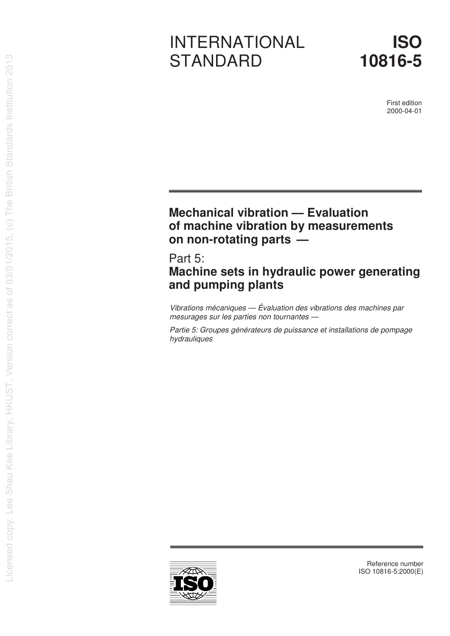## INTERNATIONAL **STANDARD**

First edition 2000-04-01

## **Mechanical vibration — Evaluation of machine vibration by measurements on non-rotating parts —**

## Part 5: **Machine sets in hydraulic power generating and pumping plants**

Vibrations mécaniques — Évaluation des vibrations des machines par mesurages sur les parties non tournantes —

Partie 5: Groupes générateurs de puissance et installations de pompage hydrauliques

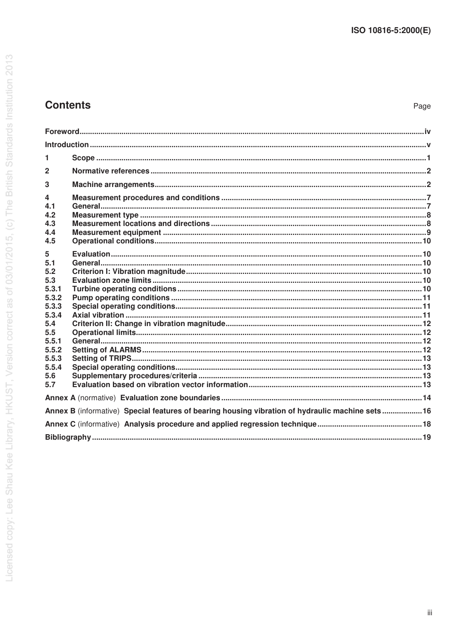## **Contents**

Page

| 1              |                                                                                                  |  |
|----------------|--------------------------------------------------------------------------------------------------|--|
| $\overline{2}$ |                                                                                                  |  |
| 3              |                                                                                                  |  |
| 4              |                                                                                                  |  |
| 4.1            |                                                                                                  |  |
| 4.2            |                                                                                                  |  |
| 4.3            |                                                                                                  |  |
| 4.4            |                                                                                                  |  |
| 4.5            |                                                                                                  |  |
| 5              |                                                                                                  |  |
| 5.1<br>5.2     |                                                                                                  |  |
| 5.3            |                                                                                                  |  |
| 5.3.1          |                                                                                                  |  |
| 5.3.2          |                                                                                                  |  |
| 5.3.3<br>5.3.4 |                                                                                                  |  |
| 5.4            |                                                                                                  |  |
| 5.5            |                                                                                                  |  |
| 5.5.1          |                                                                                                  |  |
| 5.5.2          |                                                                                                  |  |
| 5.5.3<br>5.5.4 |                                                                                                  |  |
| 5.6            |                                                                                                  |  |
| 5.7            |                                                                                                  |  |
|                |                                                                                                  |  |
|                | Annex B (informative) Special features of bearing housing vibration of hydraulic machine sets 16 |  |
|                |                                                                                                  |  |
|                |                                                                                                  |  |
|                |                                                                                                  |  |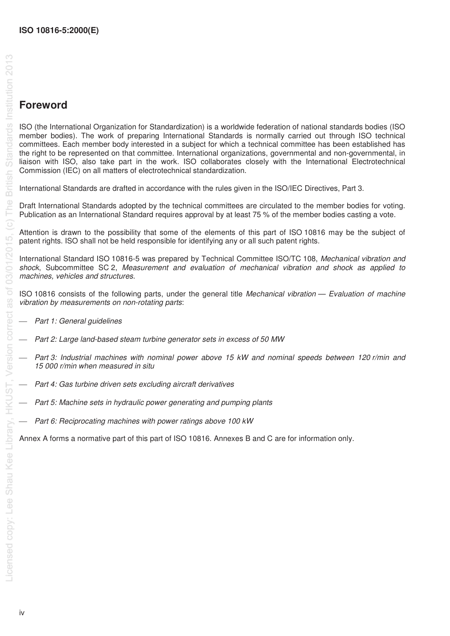## **Foreword**

ISO (the International Organization for Standardization) is a worldwide federation of national standards bodies (ISO member bodies). The work of preparing International Standards is normally carried out through ISO technical committees. Each member body interested in a subject for which a technical committee has been established has the right to be represented on that committee. International organizations, governmental and non-governmental, in liaison with ISO, also take part in the work. ISO collaborates closely with the International Electrotechnical Commission (IEC) on all matters of electrotechnical standardization.

International Standards are drafted in accordance with the rules given in the ISO/IEC Directives, Part 3.

Draft International Standards adopted by the technical committees are circulated to the member bodies for voting. Publication as an International Standard requires approval by at least 75 % of the member bodies casting a vote.

Attention is drawn to the possibility that some of the elements of this part of ISO 10816 may be the subject of patent rights. ISO shall not be held responsible for identifying any or all such patent rights.

International Standard ISO 10816-5 was prepared by Technical Committee ISO/TC 108, Mechanical vibration and shock, Subcommittee SC 2, Measurement and evaluation of mechanical vibration and shock as applied to machines, vehicles and structures.

ISO 10816 consists of the following parts, under the general title Mechanical vibration — Evaluation of machine vibration by measurements on non-rotating parts:

- Part 1: General guidelines
- Part 2: Large land-based steam turbine generator sets in excess of 50 MW
- Part 3: Industrial machines with nominal power above 15 kW and nominal speeds between 120 r/min and 15 000 r/min when measured in situ
- Part 4: Gas turbine driven sets excluding aircraft derivatives
- Part 5: Machine sets in hydraulic power generating and pumping plants
- Part 6: Reciprocating machines with power ratings above 100 kW

Annex A forms a normative part of this part of ISO 10816. Annexes B and C are for information only.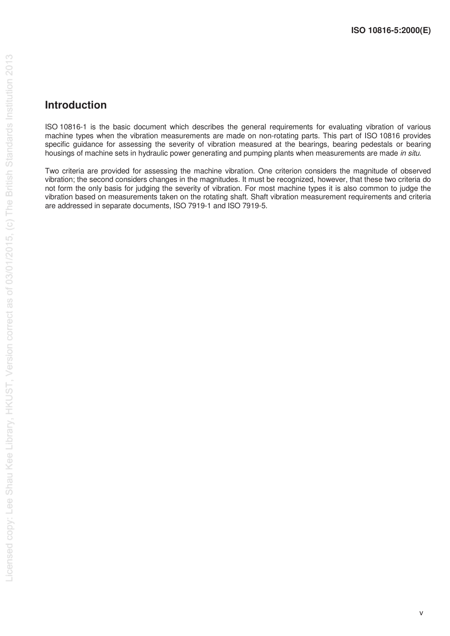### **Introduction**

ISO 10816-1 is the basic document which describes the general requirements for evaluating vibration of various machine types when the vibration measurements are made on non-rotating parts. This part of ISO 10816 provides specific guidance for assessing the severity of vibration measured at the bearings, bearing pedestals or bearing housings of machine sets in hydraulic power generating and pumping plants when measurements are made in situ.

Two criteria are provided for assessing the machine vibration. One criterion considers the magnitude of observed vibration; the second considers changes in the magnitudes. It must be recognized, however, that these two criteria do not form the only basis for judging the severity of vibration. For most machine types it is also common to judge the vibration based on measurements taken on the rotating shaft. Shaft vibration measurement requirements and criteria are addressed in separate documents, ISO 7919-1 and ISO 7919-5.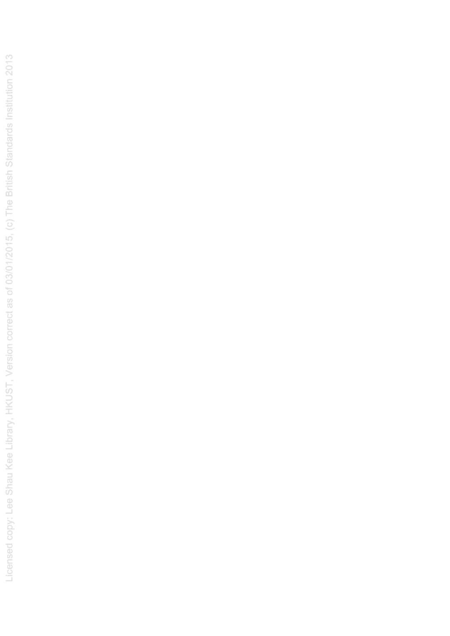Licensed copy: Lee Shau Kee Library, HKUST, Version correct as of 03/01/2015, (c) The British Standards Institution 2013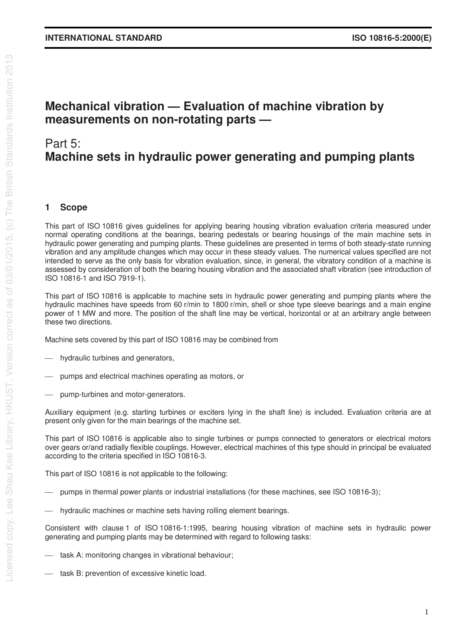## **Mechanical vibration — Evaluation of machine vibration by measurements on non-rotating parts —**

## Part 5: **Machine sets in hydraulic power generating and pumping plants**

#### **1 Scope**

This part of ISO 10816 gives guidelines for applying bearing housing vibration evaluation criteria measured under normal operating conditions at the bearings, bearing pedestals or bearing housings of the main machine sets in hydraulic power generating and pumping plants. These guidelines are presented in terms of both steady-state running vibration and any amplitude changes which may occur in these steady values. The numerical values specified are not intended to serve as the only basis for vibration evaluation, since, in general, the vibratory condition of a machine is assessed by consideration of both the bearing housing vibration and the associated shaft vibration (see introduction of ISO 10816-1 and ISO 7919-1).

This part of ISO 10816 is applicable to machine sets in hydraulic power generating and pumping plants where the hydraulic machines have speeds from 60 r/min to 1800 r/min, shell or shoe type sleeve bearings and a main engine power of 1 MW and more. The position of the shaft line may be vertical, horizontal or at an arbitrary angle between these two directions.

Machine sets covered by this part of ISO 10816 may be combined from

- hydraulic turbines and generators,
- pumps and electrical machines operating as motors, or
- pump-turbines and motor-generators.

Auxiliary equipment (e.g. starting turbines or exciters lying in the shaft line) is included. Evaluation criteria are at present only given for the main bearings of the machine set.

This part of ISO 10816 is applicable also to single turbines or pumps connected to generators or electrical motors over gears or/and radially flexible couplings. However, electrical machines of this type should in principal be evaluated according to the criteria specified in ISO 10816-3.

This part of ISO 10816 is not applicable to the following:

- pumps in thermal power plants or industrial installations (for these machines, see ISO 10816-3);
- hydraulic machines or machine sets having rolling element bearings.

Consistent with clause 1 of ISO 10816-1:1995, bearing housing vibration of machine sets in hydraulic power generating and pumping plants may be determined with regard to following tasks:

- task A: monitoring changes in vibrational behaviour;
- task B: prevention of excessive kinetic load.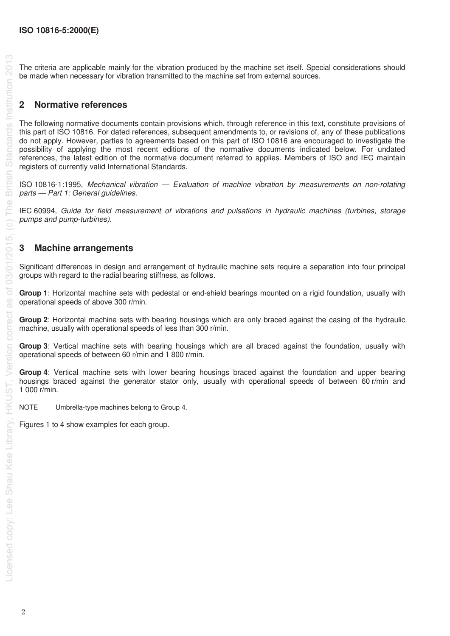The criteria are applicable mainly for the vibration produced by the machine set itself. Special considerations should be made when necessary for vibration transmitted to the machine set from external sources.

#### **2 Normative references**

The following normative documents contain provisions which, through reference in this text, constitute provisions of this part of ISO 10816. For dated references, subsequent amendments to, or revisions of, any of these publications do not apply. However, parties to agreements based on this part of ISO 10816 are encouraged to investigate the possibility of applying the most recent editions of the normative documents indicated below. For undated references, the latest edition of the normative document referred to applies. Members of ISO and IEC maintain registers of currently valid International Standards.

ISO 10816-1:1995, Mechanical vibration — Evaluation of machine vibration by measurements on non-rotating parts — Part 1: General guidelines.

IEC 60994, Guide for field measurement of vibrations and pulsations in hydraulic machines (turbines, storage pumps and pump-turbines).

#### **3 Machine arrangements**

Significant differences in design and arrangement of hydraulic machine sets require a separation into four principal groups with regard to the radial bearing stiffness, as follows.

**Group 1**: Horizontal machine sets with pedestal or end-shield bearings mounted on a rigid foundation, usually with operational speeds of above 300 r/min.

**Group 2**: Horizontal machine sets with bearing housings which are only braced against the casing of the hydraulic machine, usually with operational speeds of less than 300 r/min.

**Group 3**: Vertical machine sets with bearing housings which are all braced against the foundation, usually with operational speeds of between 60 r/min and 1 800 r/min.

**Group 4**: Vertical machine sets with lower bearing housings braced against the foundation and upper bearing housings braced against the generator stator only, usually with operational speeds of between 60 r/min and 1 000 r/min.

NOTE Umbrella-type machines belong to Group 4.

Figures 1 to 4 show examples for each group.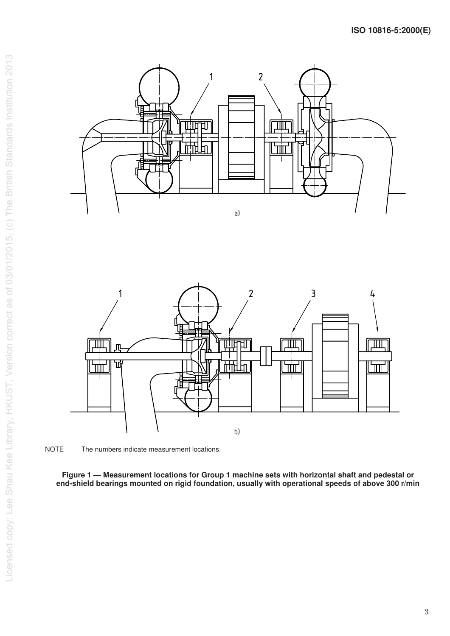



NOTE The numbers indicate measurement locations.

**Figure 1 — Measurement locations for Group 1 machine sets with horizontal shaft and pedestal or end-shield bearings mounted on rigid foundation, usually with operational speeds of above 300 r/min**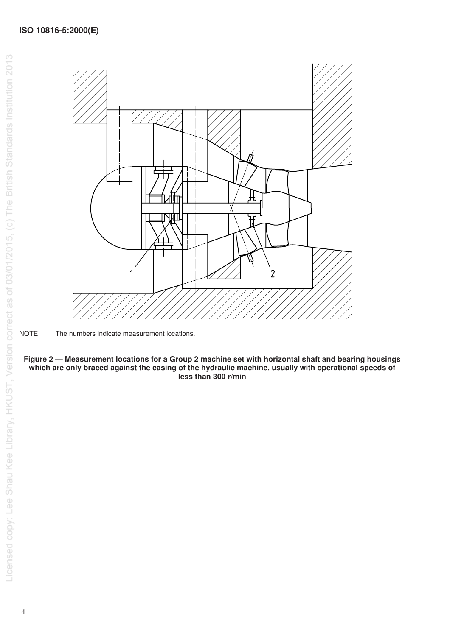

NOTE The numbers indicate measurement locations.

#### **Figure 2 — Measurement locations for a Group 2 machine set with horizontal shaft and bearing housings which are only braced against the casing of the hydraulic machine, usually with operational speeds of less than 300 r/min**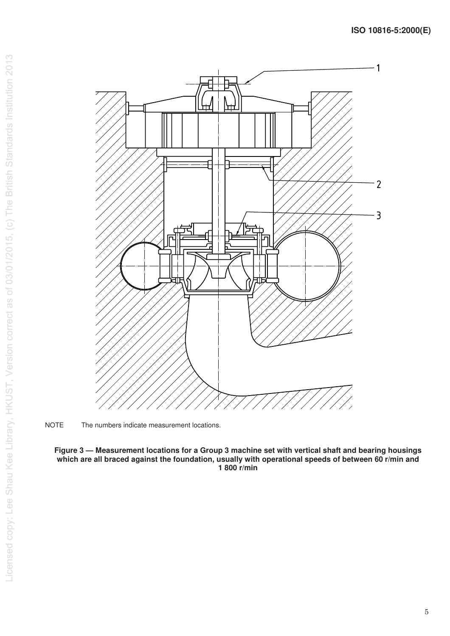



NOTE The numbers indicate measurement locations.

#### **Figure 3 — Measurement locations for a Group 3 machine set with vertical shaft and bearing housings** which are all braced against the foundation, usually with operational speeds of between 60 r/min and **1 800 r/min**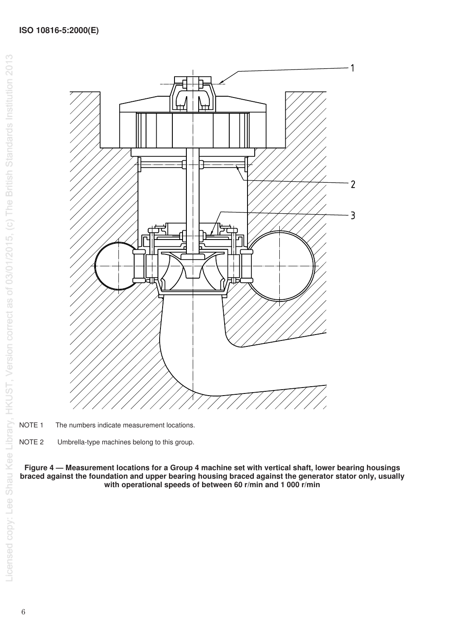

NOTE 1 The numbers indicate measurement locations.

NOTE 2 Umbrella-type machines belong to this group.

**Figure 4 — Measurement locations for a Group 4 machine set with vertical shaft, lower bearing housings braced against the foundation and upper bearing housing braced against the generator stator only, usually with operational speeds of between 60 r/min and 1 000 r/min**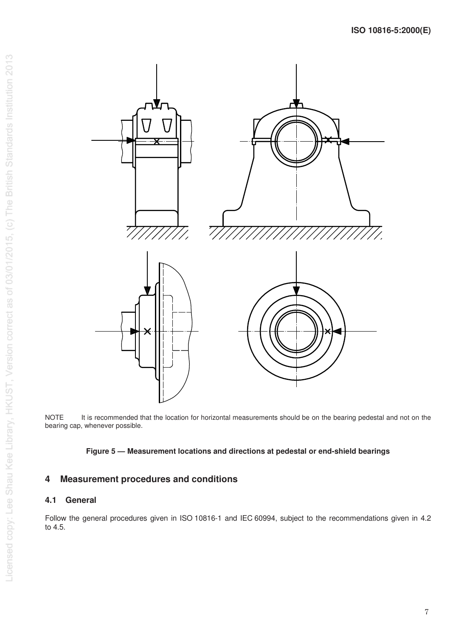

NOTE It is recommended that the location for horizontal measurements should be on the bearing pedestal and not on the bearing cap, whenever possible.

#### **Figure 5 — Measurement locations and directions at pedestal or end-shield bearings**

#### **4 Measurement procedures and conditions**

#### **4.1 General**

Follow the general procedures given in ISO 10816-1 and IEC 60994, subject to the recommendations given in 4.2 to 4.5.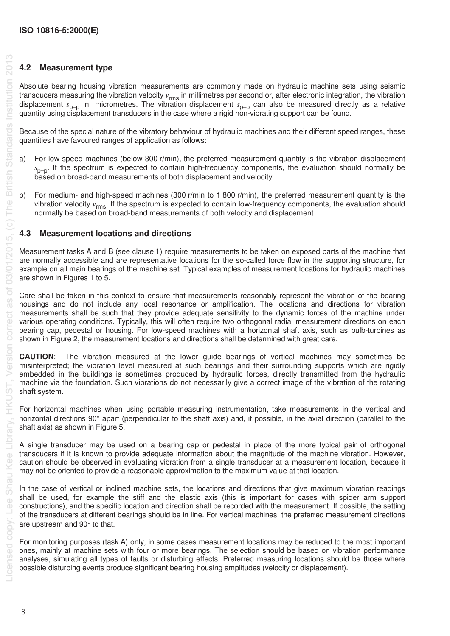#### **4.2 Measurement type**

Absolute bearing housing vibration measurements are commonly made on hydraulic machine sets using seismic transducers measuring the vibration velocity  $v_{\rm rms}$  in millimetres per second or, after electronic integration, the vibration displacement *s*p–p in micrometres. The vibration displacement *s*p–p can also be measured directly as a relative quantity using displacement transducers in the case where a rigid non-vibrating support can be found.

Because of the special nature of the vibratory behaviour of hydraulic machines and their different speed ranges, these quantities have favoured ranges of application as follows:

- For low-speed machines (below 300 r/min), the preferred measurement quantity is the vibration displacement *s*p–p. If the spectrum is expected to contain high-frequency components, the evaluation should normally be based on broad-band measurements of both displacement and velocity.
- b) For medium- and high-speed machines (300 r/min to 1 800 r/min), the preferred measurement quantity is the vibration velocity  $v_{rms}$ . If the spectrum is expected to contain low-frequency components, the evaluation should normally be based on broad-band measurements of both velocity and displacement.

#### **4.3 Measurement locations and directions**

Measurement tasks A and B (see clause 1) require measurements to be taken on exposed parts of the machine that are normally accessible and are representative locations for the so-called force flow in the supporting structure, for example on all main bearings of the machine set. Typical examples of measurement locations for hydraulic machines are shown in Figures 1 to 5.

Care shall be taken in this context to ensure that measurements reasonably represent the vibration of the bearing housings and do not include any local resonance or amplification. The locations and directions for vibration measurements shall be such that they provide adequate sensitivity to the dynamic forces of the machine under various operating conditions. Typically, this will often require two orthogonal radial measurement directions on each bearing cap, pedestal or housing. For low-speed machines with a horizontal shaft axis, such as bulb-turbines as shown in Figure 2, the measurement locations and directions shall be determined with great care.

**CAUTION**: The vibration measured at the lower guide bearings of vertical machines may sometimes be misinterpreted; the vibration level measured at such bearings and their surrounding supports which are rigidly embedded in the buildings is sometimes produced by hydraulic forces, directly transmitted from the hydraulic machine via the foundation. Such vibrations do not necessarily give a correct image of the vibration of the rotating shaft system.

For horizontal machines when using portable measuring instrumentation, take measurements in the vertical and horizontal directions 90° apart (perpendicular to the shaft axis) and, if possible, in the axial direction (parallel to the shaft axis) as shown in Figure 5.

A single transducer may be used on a bearing cap or pedestal in place of the more typical pair of orthogonal transducers if it is known to provide adequate information about the magnitude of the machine vibration. However, caution should be observed in evaluating vibration from a single transducer at a measurement location, because it may not be oriented to provide a reasonable approximation to the maximum value at that location.

In the case of vertical or inclined machine sets, the locations and directions that give maximum vibration readings shall be used, for example the stiff and the elastic axis (this is important for cases with spider arm support constructions), and the specific location and direction shall be recorded with the measurement. If possible, the setting of the transducers at different bearings should be in line. For vertical machines, the preferred measurement directions are upstream and 90° to that.

For monitoring purposes (task A) only, in some cases measurement locations may be reduced to the most important ones, mainly at machine sets with four or more bearings. The selection should be based on vibration performance analyses, simulating all types of faults or disturbing effects. Preferred measuring locations should be those where possible disturbing events produce significant bearing housing amplitudes (velocity or displacement).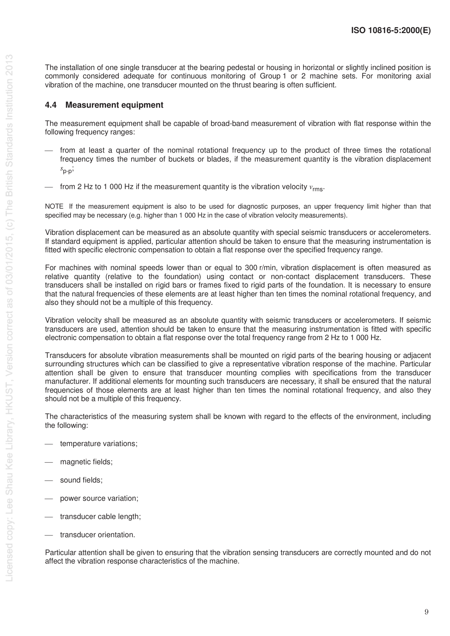The installation of one single transducer at the bearing pedestal or housing in horizontal or slightly inclined position is commonly considered adequate for continuous monitoring of Group 1 or 2 machine sets. For monitoring axial vibration of the machine, one transducer mounted on the thrust bearing is often sufficient.

#### **4.4 Measurement equipment**

The measurement equipment shall be capable of broad-band measurement of vibration with flat response within the following frequency ranges:

- from at least a quarter of the nominal rotational frequency up to the product of three times the rotational frequency times the number of buckets or blades, if the measurement quantity is the vibration displacement  $s_{p-p}$ ;
- from 2 Hz to 1 000 Hz if the measurement quantity is the vibration velocity  $v_{\text{rms}}$ .

NOTE If the measurement equipment is also to be used for diagnostic purposes, an upper frequency limit higher than that specified may be necessary (e.g. higher than 1 000 Hz in the case of vibration velocity measurements).

Vibration displacement can be measured as an absolute quantity with special seismic transducers or accelerometers. If standard equipment is applied, particular attention should be taken to ensure that the measuring instrumentation is fitted with specific electronic compensation to obtain a flat response over the specified frequency range.

For machines with nominal speeds lower than or equal to 300 r/min, vibration displacement is often measured as relative quantity (relative to the foundation) using contact or non-contact displacement transducers. These transducers shall be installed on rigid bars or frames fixed to rigid parts of the foundation. It is necessary to ensure that the natural frequencies of these elements are at least higher than ten times the nominal rotational frequency, and also they should not be a multiple of this frequency.

Vibration velocity shall be measured as an absolute quantity with seismic transducers or accelerometers. If seismic transducers are used, attention should be taken to ensure that the measuring instrumentation is fitted with specific electronic compensation to obtain a flat response over the total frequency range from 2 Hz to 1 000 Hz.

Transducers for absolute vibration measurements shall be mounted on rigid parts of the bearing housing or adjacent surrounding structures which can be classified to give a representative vibration response of the machine. Particular attention shall be given to ensure that transducer mounting complies with specifications from the transducer manufacturer. If additional elements for mounting such transducers are necessary, it shall be ensured that the natural frequencies of those elements are at least higher than ten times the nominal rotational frequency, and also they should not be a multiple of this frequency.

The characteristics of the measuring system shall be known with regard to the effects of the environment, including the following:

- temperature variations;
- magnetic fields;
- sound fields;
- power source variation;
- transducer cable length;
- transducer orientation.

Particular attention shall be given to ensuring that the vibration sensing transducers are correctly mounted and do not affect the vibration response characteristics of the machine.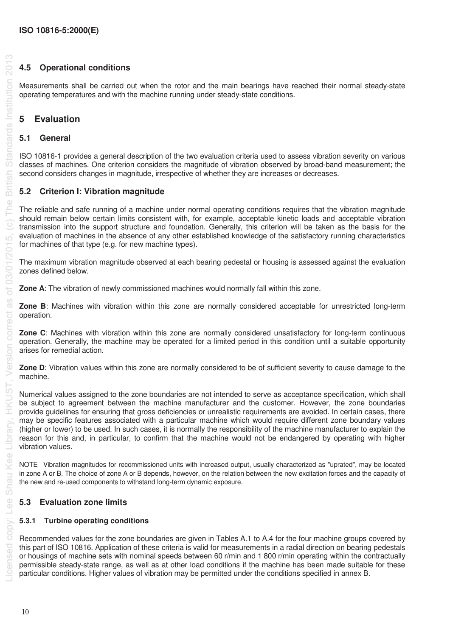#### **4.5 Operational conditions**

Measurements shall be carried out when the rotor and the main bearings have reached their normal steady-state operating temperatures and with the machine running under steady-state conditions.

#### **5 Evaluation**

#### **5.1 General**

ISO 10816-1 provides a general description of the two evaluation criteria used to assess vibration severity on various classes of machines. One criterion considers the magnitude of vibration observed by broad-band measurement; the second considers changes in magnitude, irrespective of whether they are increases or decreases.

#### **5.2 Criterion I: Vibration magnitude**

The reliable and safe running of a machine under normal operating conditions requires that the vibration magnitude should remain below certain limits consistent with, for example, acceptable kinetic loads and acceptable vibration transmission into the support structure and foundation. Generally, this criterion will be taken as the basis for the evaluation of machines in the absence of any other established knowledge of the satisfactory running characteristics for machines of that type (e.g. for new machine types).

The maximum vibration magnitude observed at each bearing pedestal or housing is assessed against the evaluation zones defined below.

**Zone A**: The vibration of newly commissioned machines would normally fall within this zone.

**Zone B**: Machines with vibration within this zone are normally considered acceptable for unrestricted long-term operation.

**Zone C**: Machines with vibration within this zone are normally considered unsatisfactory for long-term continuous operation. Generally, the machine may be operated for a limited period in this condition until a suitable opportunity arises for remedial action.

**Zone D**: Vibration values within this zone are normally considered to be of sufficient severity to cause damage to the machine.

Numerical values assigned to the zone boundaries are not intended to serve as acceptance specification, which shall be subject to agreement between the machine manufacturer and the customer. However, the zone boundaries provide guidelines for ensuring that gross deficiencies or unrealistic requirements are avoided. In certain cases, there may be specific features associated with a particular machine which would require different zone boundary values (higher or lower) to be used. In such cases, it is normally the responsibility of the machine manufacturer to explain the reason for this and, in particular, to confirm that the machine would not be endangered by operating with higher vibration values.

NOTE Vibration magnitudes for recommissioned units with increased output, usually characterized as "uprated", may be located in zone A or B. The choice of zone A or B depends, however, on the relation between the new excitation forces and the capacity of the new and re-used components to withstand long-term dynamic exposure.

#### **5.3 Evaluation zone limits**

#### **5.3.1 Turbine operating conditions**

Recommended values for the zone boundaries are given in Tables A.1 to A.4 for the four machine groups covered by this part of ISO 10816. Application of these criteria is valid for measurements in a radial direction on bearing pedestals or housings of machine sets with nominal speeds between 60 r/min and 1 800 r/min operating within the contractually permissible steady-state range, as well as at other load conditions if the machine has been made suitable for these particular conditions. Higher values of vibration may be permitted under the conditions specified in annex B.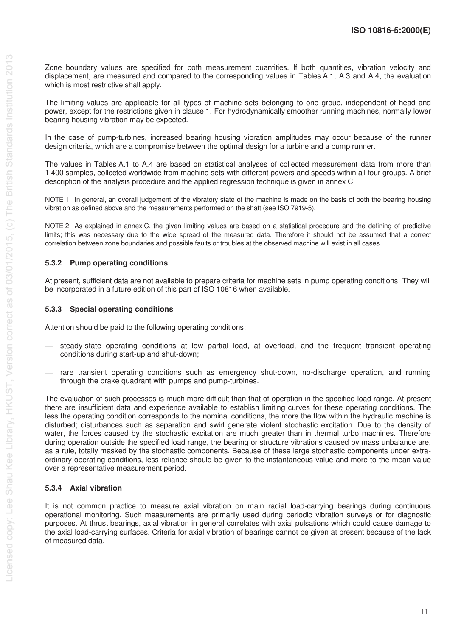Zone boundary values are specified for both measurement quantities. If both quantities, vibration velocity and displacement, are measured and compared to the corresponding values in Tables A.1, A.3 and A.4, the evaluation which is most restrictive shall apply.

The limiting values are applicable for all types of machine sets belonging to one group, independent of head and power, except for the restrictions given in clause 1. For hydrodynamically smoother running machines, normally lower bearing housing vibration may be expected.

In the case of pump-turbines, increased bearing housing vibration amplitudes may occur because of the runner design criteria, which are a compromise between the optimal design for a turbine and a pump runner.

The values in Tables A.1 to A.4 are based on statistical analyses of collected measurement data from more than 1 400 samples, collected worldwide from machine sets with different powers and speeds within all four groups. A brief description of the analysis procedure and the applied regression technique is given in annex C.

NOTE 1 In general, an overall judgement of the vibratory state of the machine is made on the basis of both the bearing housing vibration as defined above and the measurements performed on the shaft (see ISO 7919-5).

NOTE 2 As explained in annex C, the given limiting values are based on a statistical procedure and the defining of predictive limits; this was necessary due to the wide spread of the measured data. Therefore it should not be assumed that a correct correlation between zone boundaries and possible faults or troubles at the observed machine will exist in all cases.

#### **5.3.2 Pump operating conditions**

At present, sufficient data are not available to prepare criteria for machine sets in pump operating conditions. They will be incorporated in a future edition of this part of ISO 10816 when available.

#### **5.3.3 Special operating conditions**

Attention should be paid to the following operating conditions:

- steady-state operating conditions at low partial load, at overload, and the frequent transient operating conditions during start-up and shut-down;
- rare transient operating conditions such as emergency shut-down, no-discharge operation, and running through the brake quadrant with pumps and pump-turbines.

The evaluation of such processes is much more difficult than that of operation in the specified load range. At present there are insufficient data and experience available to establish limiting curves for these operating conditions. The less the operating condition corresponds to the nominal conditions, the more the flow within the hydraulic machine is disturbed; disturbances such as separation and swirl generate violent stochastic excitation. Due to the density of water, the forces caused by the stochastic excitation are much greater than in thermal turbo machines. Therefore during operation outside the specified load range, the bearing or structure vibrations caused by mass unbalance are, as a rule, totally masked by the stochastic components. Because of these large stochastic components under extraordinary operating conditions, less reliance should be given to the instantaneous value and more to the mean value over a representative measurement period.

#### **5.3.4 Axial vibration**

It is not common practice to measure axial vibration on main radial load-carrying bearings during continuous operational monitoring. Such measurements are primarily used during periodic vibration surveys or for diagnostic purposes. At thrust bearings, axial vibration in general correlates with axial pulsations which could cause damage to the axial load-carrying surfaces. Criteria for axial vibration of bearings cannot be given at present because of the lack of measured data.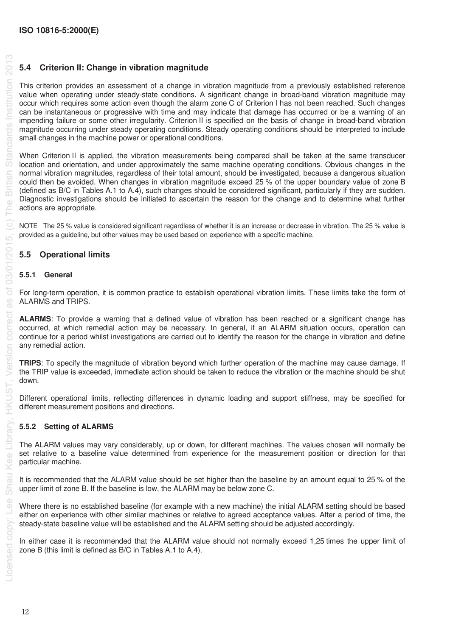#### **5.4 Criterion II: Change in vibration magnitude**

This criterion provides an assessment of a change in vibration magnitude from a previously established reference value when operating under steady-state conditions. A significant change in broad-band vibration magnitude may occur which requires some action even though the alarm zone C of Criterion I has not been reached. Such changes can be instantaneous or progressive with time and may indicate that damage has occurred or be a warning of an impending failure or some other irregularity. Criterion II is specified on the basis of change in broad-band vibration magnitude occurring under steady operating conditions. Steady operating conditions should be interpreted to include small changes in the machine power or operational conditions.

When Criterion II is applied, the vibration measurements being compared shall be taken at the same transducer location and orientation, and under approximately the same machine operating conditions. Obvious changes in the normal vibration magnitudes, regardless of their total amount, should be investigated, because a dangerous situation could then be avoided. When changes in vibration magnitude exceed 25 % of the upper boundary value of zone B (defined as B/C in Tables A.1 to A.4), such changes should be considered significant, particularly if they are sudden. Diagnostic investigations should be initiated to ascertain the reason for the change and to determine what further actions are appropriate.

NOTE The 25 % value is considered significant regardless of whether it is an increase or decrease in vibration. The 25 % value is provided as a guideline, but other values may be used based on experience with a specific machine.

#### **5.5 Operational limits**

#### **5.5.1 General**

For long-term operation, it is common practice to establish operational vibration limits. These limits take the form of ALARMS and TRIPS.

**ALARMS**: To provide a warning that a defined value of vibration has been reached or a significant change has occurred, at which remedial action may be necessary. In general, if an ALARM situation occurs, operation can continue for a period whilst investigations are carried out to identify the reason for the change in vibration and define any remedial action.

**TRIPS**: To specify the magnitude of vibration beyond which further operation of the machine may cause damage. If the TRIP value is exceeded, immediate action should be taken to reduce the vibration or the machine should be shut down.

Different operational limits, reflecting differences in dynamic loading and support stiffness, may be specified for different measurement positions and directions.

#### **5.5.2 Setting of ALARMS**

The ALARM values may vary considerably, up or down, for different machines. The values chosen will normally be set relative to a baseline value determined from experience for the measurement position or direction for that particular machine.

It is recommended that the ALARM value should be set higher than the baseline by an amount equal to 25 % of the upper limit of zone B. If the baseline is low, the ALARM may be below zone C.

Where there is no established baseline (for example with a new machine) the initial ALARM setting should be based either on experience with other similar machines or relative to agreed acceptance values. After a period of time, the steady-state baseline value will be established and the ALARM setting should be adjusted accordingly.

In either case it is recommended that the ALARM value should not normally exceed 1,25 times the upper limit of zone B (this limit is defined as B/C in Tables A.1 to A.4).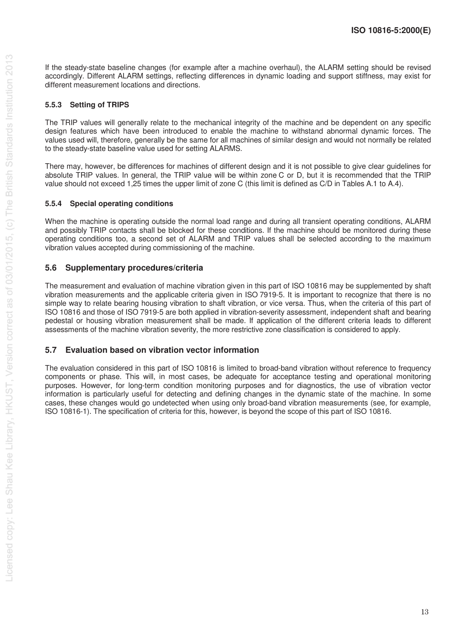If the steady-state baseline changes (for example after a machine overhaul), the ALARM setting should be revised accordingly. Different ALARM settings, reflecting differences in dynamic loading and support stiffness, may exist for different measurement locations and directions.

#### **5.5.3 Setting of TRIPS**

The TRIP values will generally relate to the mechanical integrity of the machine and be dependent on any specific design features which have been introduced to enable the machine to withstand abnormal dynamic forces. The values used will, therefore, generally be the same for all machines of similar design and would not normally be related to the steady-state baseline value used for setting ALARMS.

There may, however, be differences for machines of different design and it is not possible to give clear guidelines for absolute TRIP values. In general, the TRIP value will be within zone C or D, but it is recommended that the TRIP value should not exceed 1,25 times the upper limit of zone C (this limit is defined as C/D in Tables A.1 to A.4).

#### **5.5.4 Special operating conditions**

When the machine is operating outside the normal load range and during all transient operating conditions, ALARM and possibly TRIP contacts shall be blocked for these conditions. If the machine should be monitored during these operating conditions too, a second set of ALARM and TRIP values shall be selected according to the maximum vibration values accepted during commissioning of the machine.

#### **5.6 Supplementary procedures/criteria**

The measurement and evaluation of machine vibration given in this part of ISO 10816 may be supplemented by shaft vibration measurements and the applicable criteria given in ISO 7919-5. It is important to recognize that there is no simple way to relate bearing housing vibration to shaft vibration, or vice versa. Thus, when the criteria of this part of ISO 10816 and those of ISO 7919-5 are both applied in vibration-severity assessment, independent shaft and bearing pedestal or housing vibration measurement shall be made. If application of the different criteria leads to different assessments of the machine vibration severity, the more restrictive zone classification is considered to apply.

#### **5.7 Evaluation based on vibration vector information**

The evaluation considered in this part of ISO 10816 is limited to broad-band vibration without reference to frequency components or phase. This will, in most cases, be adequate for acceptance testing and operational monitoring purposes. However, for long-term condition monitoring purposes and for diagnostics, the use of vibration vector information is particularly useful for detecting and defining changes in the dynamic state of the machine. In some cases, these changes would go undetected when using only broad-band vibration measurements (see, for example, ISO 10816-1). The specification of criteria for this, however, is beyond the scope of this part of ISO 10816.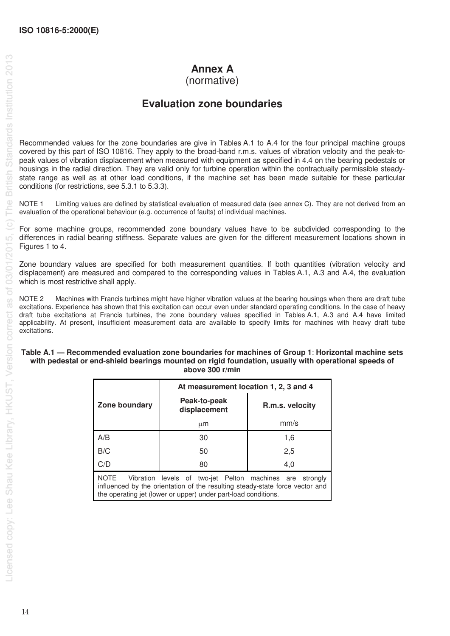## **Annex A**

(normative)

### **Evaluation zone boundaries**

Recommended values for the zone boundaries are give in Tables A.1 to A.4 for the four principal machine groups covered by this part of ISO 10816. They apply to the broad-band r.m.s. values of vibration velocity and the peak-topeak values of vibration displacement when measured with equipment as specified in 4.4 on the bearing pedestals or housings in the radial direction. They are valid only for turbine operation within the contractually permissible steadystate range as well as at other load conditions, if the machine set has been made suitable for these particular conditions (for restrictions, see 5.3.1 to 5.3.3).

NOTE 1 Limiting values are defined by statistical evaluation of measured data (see annex C). They are not derived from an evaluation of the operational behaviour (e.g. occurrence of faults) of individual machines.

For some machine groups, recommended zone boundary values have to be subdivided corresponding to the differences in radial bearing stiffness. Separate values are given for the different measurement locations shown in Figures 1 to 4.

Zone boundary values are specified for both measurement quantities. If both quantities (vibration velocity and displacement) are measured and compared to the corresponding values in Tables A.1, A.3 and A.4, the evaluation which is most restrictive shall apply.

NOTE 2 Machines with Francis turbines might have higher vibration values at the bearing housings when there are draft tube excitations. Experience has shown that this excitation can occur even under standard operating conditions. In the case of heavy draft tube excitations at Francis turbines, the zone boundary values specified in Tables A.1, A.3 and A.4 have limited applicability. At present, insufficient measurement data are available to specify limits for machines with heavy draft tube excitations.

| Table A.1 — Recommended evaluation zone boundaries for machines of Group 1: Horizontal machine sets  |
|------------------------------------------------------------------------------------------------------|
| with pedestal or end-shield bearings mounted on rigid foundation, usually with operational speeds of |
| above 300 r/min                                                                                      |

|                                                                                                                                                                                                                           | At measurement location 1, 2, 3 and 4 |                 |  |
|---------------------------------------------------------------------------------------------------------------------------------------------------------------------------------------------------------------------------|---------------------------------------|-----------------|--|
| Zone boundary                                                                                                                                                                                                             | Peak-to-peak<br>displacement          | R.m.s. velocity |  |
|                                                                                                                                                                                                                           | μm                                    | mm/s            |  |
| A/B                                                                                                                                                                                                                       | 30                                    | 1,6             |  |
| B/C                                                                                                                                                                                                                       | 50                                    | 2,5             |  |
| C/D                                                                                                                                                                                                                       | 4,0<br>80                             |                 |  |
| <b>NOTE</b><br>Vibration levels of two-jet Pelton machines are strongly<br>influenced by the orientation of the resulting steady-state force vector and<br>the operating jet (lower or upper) under part-load conditions. |                                       |                 |  |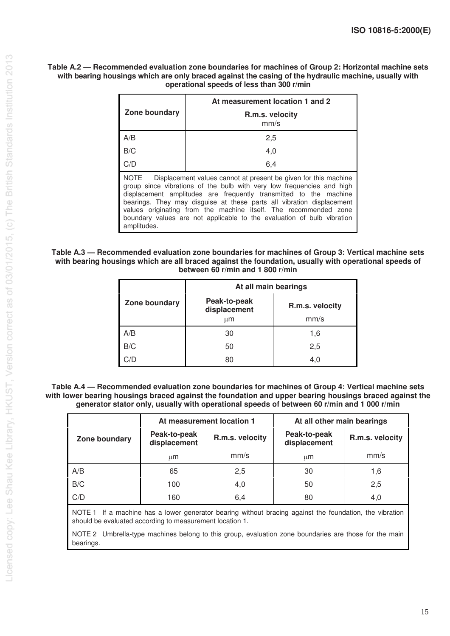#### **Table A.2 — Recommended evaluation zone boundaries for machines of Group 2: Horizontal machine sets with bearing housings which are only braced against the casing of the hydraulic machine, usually with operational speeds of less than 300 r/min**

| Zone boundary                                                                                                                                                                                                                                                                                                                                                                                                                                               | At measurement location 1 and 2<br>R.m.s. velocity<br>mm/s |  |
|-------------------------------------------------------------------------------------------------------------------------------------------------------------------------------------------------------------------------------------------------------------------------------------------------------------------------------------------------------------------------------------------------------------------------------------------------------------|------------------------------------------------------------|--|
| A/B                                                                                                                                                                                                                                                                                                                                                                                                                                                         | 2,5                                                        |  |
| B/C                                                                                                                                                                                                                                                                                                                                                                                                                                                         | 4,0                                                        |  |
| C/D                                                                                                                                                                                                                                                                                                                                                                                                                                                         | 6,4                                                        |  |
| NOTE<br>Displacement values cannot at present be given for this machine<br>group since vibrations of the bulb with very low frequencies and high<br>displacement amplitudes are frequently transmitted to the machine<br>bearings. They may disguise at these parts all vibration displacement<br>values originating from the machine itself. The recommended zone<br>boundary values are not applicable to the evaluation of bulb vibration<br>amplitudes. |                                                            |  |

**Table A.3 — Recommended evaluation zone boundaries for machines of Group 3: Vertical machine sets with bearing housings which are all braced against the foundation, usually with operational speeds of between 60 r/min and 1 800 r/min**

|               | At all main bearings               |                         |  |
|---------------|------------------------------------|-------------------------|--|
| Zone boundary | Peak-to-peak<br>displacement<br>μm | R.m.s. velocity<br>mm/s |  |
|               |                                    |                         |  |
| A/B           | 30                                 | 1,6                     |  |
| B/C           | 50                                 | 2,5                     |  |
|               | 80                                 | 4,0                     |  |

**Table A.4 — Recommended evaluation zone boundaries for machines of Group 4: Vertical machine sets with lower bearing housings braced against the foundation and upper bearing housings braced against the generator stator only, usually with operational speeds of between 60 r/min and 1 000 r/min**

|               | At measurement location 1    |                 | At all other main bearings   |                 |
|---------------|------------------------------|-----------------|------------------------------|-----------------|
| Zone boundary | Peak-to-peak<br>displacement | R.m.s. velocity | Peak-to-peak<br>displacement | R.m.s. velocity |
|               | цm                           | mm/s            | um                           | mm/s            |
| A/B           | 65                           | 2,5             | 30                           | 1,6             |
| B/C           | 100                          | 4,0             | 50                           | 2,5             |
| C/D           | 160                          | 6,4             | 80                           | 4,0             |

NOTE 1 If a machine has a lower generator bearing without bracing against the foundation, the vibration should be evaluated according to measurement location 1.

NOTE 2 Umbrella-type machines belong to this group, evaluation zone boundaries are those for the main bearings.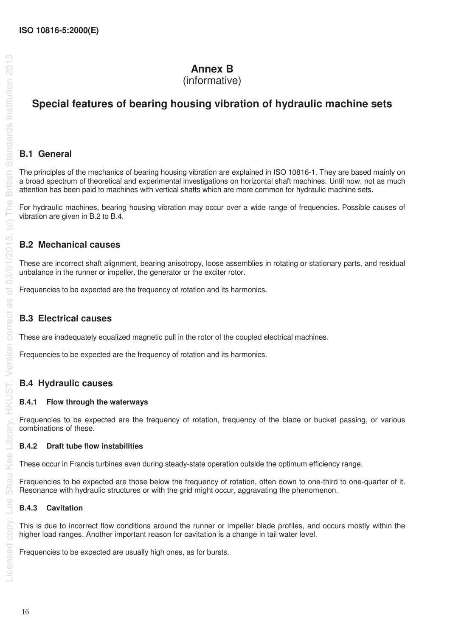## **Annex B**

#### (informative)

## **Special features of bearing housing vibration of hydraulic machine sets**

#### **B.1 General**

The principles of the mechanics of bearing housing vibration are explained in ISO 10816-1. They are based mainly on a broad spectrum of theoretical and experimental investigations on horizontal shaft machines. Until now, not as much attention has been paid to machines with vertical shafts which are more common for hydraulic machine sets.

For hydraulic machines, bearing housing vibration may occur over a wide range of frequencies. Possible causes of vibration are given in B.2 to B.4.

#### **B.2 Mechanical causes**

These are incorrect shaft alignment, bearing anisotropy, loose assemblies in rotating or stationary parts, and residual unbalance in the runner or impeller, the generator or the exciter rotor.

Frequencies to be expected are the frequency of rotation and its harmonics.

#### **B.3 Electrical causes**

These are inadequately equalized magnetic pull in the rotor of the coupled electrical machines.

Frequencies to be expected are the frequency of rotation and its harmonics.

#### **B.4 Hydraulic causes**

#### **B.4.1 Flow through the waterways**

Frequencies to be expected are the frequency of rotation, frequency of the blade or bucket passing, or various combinations of these.

#### **B.4.2 Draft tube flow instabilities**

These occur in Francis turbines even during steady-state operation outside the optimum efficiency range.

Frequencies to be expected are those below the frequency of rotation, often down to one-third to one-quarter of it. Resonance with hydraulic structures or with the grid might occur, aggravating the phenomenon.

#### **B.4.3 Cavitation**

This is due to incorrect flow conditions around the runner or impeller blade profiles, and occurs mostly within the higher load ranges. Another important reason for cavitation is a change in tail water level.

Frequencies to be expected are usually high ones, as for bursts.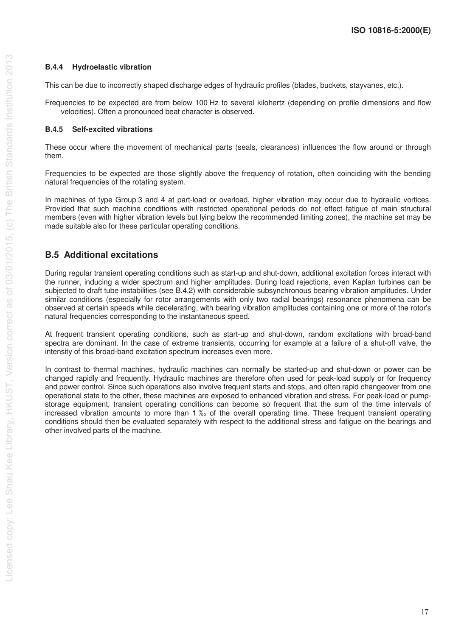#### **B.4.4 Hydroelastic vibration**

This can be due to incorrectly shaped discharge edges of hydraulic profiles (blades, buckets, stayvanes, etc.).

Frequencies to be expected are from below 100 Hz to several kilohertz (depending on profile dimensions and flow velocities). Often a pronounced beat character is observed.

#### **B.4.5 Self-excited vibrations**

These occur where the movement of mechanical parts (seals, clearances) influences the flow around or through them.

Frequencies to be expected are those slightly above the frequency of rotation, often coinciding with the bending natural frequencies of the rotating system.

In machines of type Group 3 and 4 at part-load or overload, higher vibration may occur due to hydraulic vortices. Provided that such machine conditions with restricted operational periods do not effect fatigue of main structural members (even with higher vibration levels but lying below the recommended limiting zones), the machine set may be made suitable also for these particular operating conditions.

#### **B.5 Additional excitations**

During regular transient operating conditions such as start-up and shut-down, additional excitation forces interact with the runner, inducing a wider spectrum and higher amplitudes. During load rejections, even Kaplan turbines can be subjected to draft tube instabilities (see B.4.2) with considerable subsynchronous bearing vibration amplitudes. Under similar conditions (especially for rotor arrangements with only two radial bearings) resonance phenomena can be observed at certain speeds while decelerating, with bearing vibration amplitudes containing one or more of the rotor's natural frequencies corresponding to the instantaneous speed.

At frequent transient operating conditions, such as start-up and shut-down, random excitations with broad-band spectra are dominant. In the case of extreme transients, occurring for example at a failure of a shut-off valve, the intensity of this broad-band excitation spectrum increases even more.

In contrast to thermal machines, hydraulic machines can normally be started-up and shut-down or power can be changed rapidly and frequently. Hydraulic machines are therefore often used for peak-load supply or for frequency and power control. Since such operations also involve frequent starts and stops, and often rapid changeover from one operational state to the other, these machines are exposed to enhanced vibration and stress. For peak-load or pumpstorage equipment, transient operating conditions can become so frequent that the sum of the time intervals of increased vibration amounts to more than 1 ‰ of the overall operating time. These frequent transient operating conditions should then be evaluated separately with respect to the additional stress and fatigue on the bearings and other involved parts of the machine.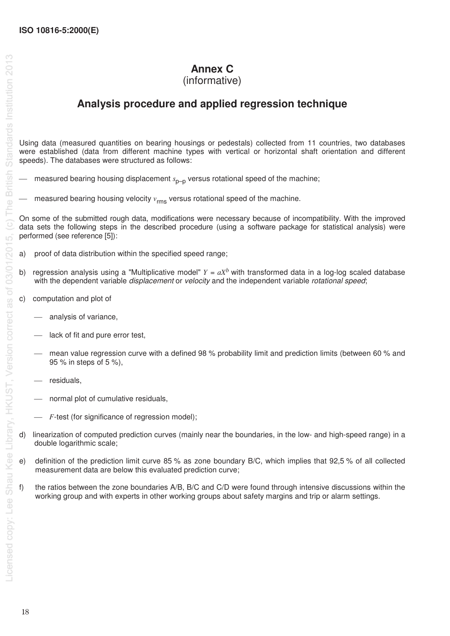## **Annex C**

(informative)

## **Analysis procedure and applied regression technique**

Using data (measured quantities on bearing housings or pedestals) collected from 11 countries, two databases were established (data from different machine types with vertical or horizontal shaft orientation and different speeds). The databases were structured as follows:

- measured bearing housing displacement  $s_{p-n}$  versus rotational speed of the machine;
- measured bearing housing velocity  $v_{\text{rms}}$  versus rotational speed of the machine.

On some of the submitted rough data, modifications were necessary because of incompatibility. With the improved data sets the following steps in the described procedure (using a software package for statistical analysis) were performed (see reference [5]):

- a) proof of data distribution within the specified speed range;
- b) regression analysis using a "Multiplicative model"  $Y = aX^b$  with transformed data in a log-log scaled database with the dependent variable *displacement* or *velocity* and the independent variable *rotational speed*;
- c) computation and plot of
	- analysis of variance,
	- lack of fit and pure error test,
	- mean value regression curve with a defined 98 % probability limit and prediction limits (between 60 % and 95 % in steps of 5 %),
	- residuals,
	- normal plot of cumulative residuals,
	- *F*-test (for significance of regression model);
- d) linearization of computed prediction curves (mainly near the boundaries, in the low- and high-speed range) in a double logarithmic scale;
- e) definition of the prediction limit curve 85 % as zone boundary B/C, which implies that 92,5 % of all collected measurement data are below this evaluated prediction curve;
- f) the ratios between the zone boundaries A/B, B/C and C/D were found through intensive discussions within the working group and with experts in other working groups about safety margins and trip or alarm settings.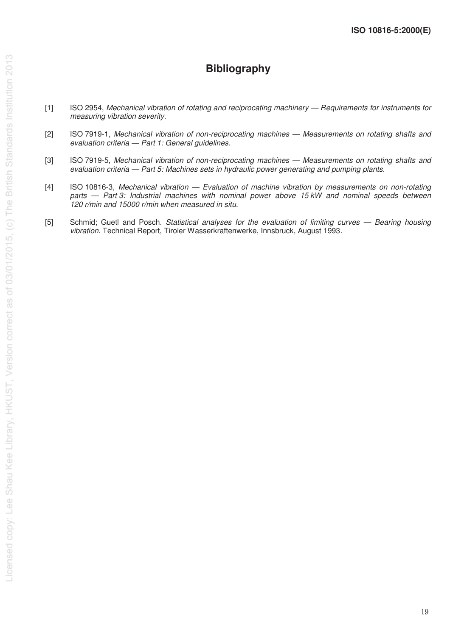## **Bibliography**

- [1] ISO 2954, Mechanical vibration of rotating and reciprocating machinery Requirements for instruments for measuring vibration severity.
- [2] ISO 7919-1, Mechanical vibration of non-reciprocating machines Measurements on rotating shafts and evaluation criteria — Part 1: General guidelines.
- [3] ISO 7919-5, Mechanical vibration of non-reciprocating machines Measurements on rotating shafts and evaluation criteria — Part 5: Machines sets in hydraulic power generating and pumping plants.
- [4] ISO 10816-3, Mechanical vibration Evaluation of machine vibration by measurements on non-rotating parts — Part 3: Industrial machines with nominal power above 15 kW and nominal speeds between 120 r/min and 15000 r/min when measured in situ.
- [5] Schmid; Guetl and Posch. Statistical analyses for the evaluation of limiting curves Bearing housing vibration. Technical Report, Tiroler Wasserkraftenwerke, Innsbruck, August 1993.